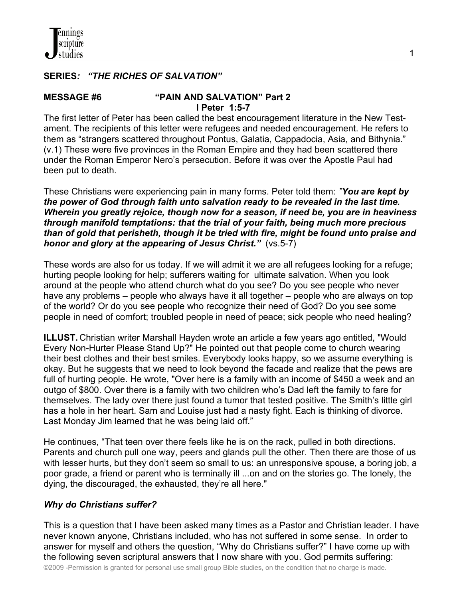### **SERIES***: "THE RICHES OF SALVATION"*

#### **MESSAGE #6 "PAIN AND SALVATION" Part 2 I Peter 1:5-7**

The first letter of Peter has been called the best encouragement literature in the New Testament. The recipients of this letter were refugees and needed encouragement. He refers to them as "strangers scattered throughout Pontus, Galatia, Cappadocia, Asia, and Bithynia." (v.1) These were five provinces in the Roman Empire and they had been scattered there under the Roman Emperor Nero's persecution. Before it was over the Apostle Paul had been put to death.

These Christians were experiencing pain in many forms. Peter told them: *"You are kept by the power of God through faith unto salvation ready to be revealed in the last time. Wherein you greatly rejoice, though now for a season, if need be, you are in heaviness through manifold temptations: that the trial of your faith, being much more precious than of gold that perisheth, though it be tried with fire, might be found unto praise and honor and glory at the appearing of Jesus Christ."* (vs.5-7)

These words are also for us today. If we will admit it we are all refugees looking for a refuge; hurting people looking for help; sufferers waiting for ultimate salvation. When you look around at the people who attend church what do you see? Do you see people who never have any problems – people who always have it all together – people who are always on top of the world? Or do you see people who recognize their need of God? Do you see some people in need of comfort; troubled people in need of peace; sick people who need healing?

**ILLUST.** Christian writer Marshall Hayden wrote an article a few years ago entitled, "Would Every Non-Hurter Please Stand Up?" He pointed out that people come to church wearing their best clothes and their best smiles. Everybody looks happy, so we assume everything is okay. But he suggests that we need to look beyond the facade and realize that the pews are full of hurting people. He wrote, "Over here is a family with an income of \$450 a week and an outgo of \$800. Over there is a family with two children who's Dad left the family to fare for themselves. The lady over there just found a tumor that tested positive. The Smith's little girl has a hole in her heart. Sam and Louise just had a nasty fight. Each is thinking of divorce. Last Monday Jim learned that he was being laid off."

He continues, "That teen over there feels like he is on the rack, pulled in both directions. Parents and church pull one way, peers and glands pull the other. Then there are those of us with lesser hurts, but they don't seem so small to us: an unresponsive spouse, a boring job, a poor grade, a friend or parent who is terminally ill ...on and on the stories go. The lonely, the dying, the discouraged, the exhausted, they're all here."

#### *Why do Christians suffer?*

This is a question that I have been asked many times as a Pastor and Christian leader. I have never known anyone, Christians included, who has not suffered in some sense. In order to answer for myself and others the question, "Why do Christians suffer?" I have come up with the following seven scriptural answers that I now share with you. God permits suffering:

©2009 -Permission is granted for personal use small group Bible studies, on the condition that no charge is made.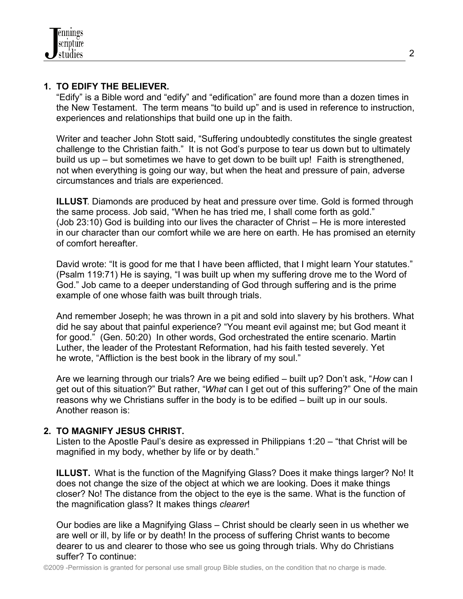# **1. TO EDIFY THE BELIEVER.**

 "Edify" is a Bible word and "edify" and "edification" are found more than a dozen times in the New Testament. The term means "to build up" and is used in reference to instruction, experiences and relationships that build one up in the faith.

 Writer and teacher John Stott said, "Suffering undoubtedly constitutes the single greatest challenge to the Christian faith." It is not God's purpose to tear us down but to ultimately build us up – but sometimes we have to get down to be built up! Faith is strengthened, not when everything is going our way, but when the heat and pressure of pain, adverse circumstances and trials are experienced.

 **ILLUST**. Diamonds are produced by heat and pressure over time. Gold is formed through the same process. Job said, "When he has tried me, I shall come forth as gold." (Job 23:10) God is building into our lives the character of Christ – He is more interested in our character than our comfort while we are here on earth. He has promised an eternity of comfort hereafter.

David wrote: "It is good for me that I have been afflicted, that I might learn Your statutes." (Psalm 119:71) He is saying, "I was built up when my suffering drove me to the Word of God." Job came to a deeper understanding of God through suffering and is the prime example of one whose faith was built through trials.

 And remember Joseph; he was thrown in a pit and sold into slavery by his brothers. What did he say about that painful experience? "You meant evil against me; but God meant it for good." (Gen. 50:20) In other words, God orchestrated the entire scenario. Martin Luther, the leader of the Protestant Reformation, had his faith tested severely. Yet he wrote, "Affliction is the best book in the library of my soul."

 Are we learning through our trials? Are we being edified – built up? Don't ask, "*How* can I get out of this situation?" But rather, "*What* can I get out of this suffering?" One of the main reasons why we Christians suffer in the body is to be edified – built up in our souls. Another reason is:

# **2. TO MAGNIFY JESUS CHRIST.**

 Listen to the Apostle Paul's desire as expressed in Philippians 1:20 – "that Christ will be magnified in my body, whether by life or by death."

 **ILLUST.** What is the function of the Magnifying Glass? Does it make things larger? No! It does not change the size of the object at which we are looking. Does it make things closer? No! The distance from the object to the eye is the same. What is the function of the magnification glass? It makes things *clearer*!

 Our bodies are like a Magnifying Glass – Christ should be clearly seen in us whether we are well or ill, by life or by death! In the process of suffering Christ wants to become dearer to us and clearer to those who see us going through trials. Why do Christians suffer? To continue: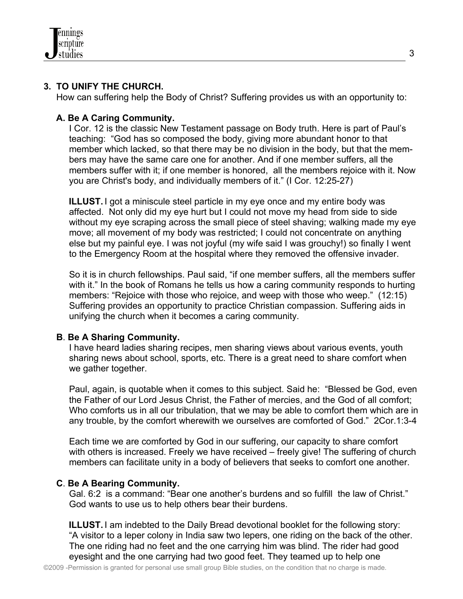

#### **3. TO UNIFY THE CHURCH.**

How can suffering help the Body of Christ? Suffering provides us with an opportunity to:

#### **A. Be A Caring Community.**

 I Cor. 12 is the classic New Testament passage on Body truth. Here is part of Paul's teaching: "God has so composed the body, giving more abundant honor to that member which lacked, so that there may be no division in the body, but that the mem bers may have the same care one for another. And if one member suffers, all the members suffer with it; if one member is honored, all the members rejoice with it. Now you are Christ's body, and individually members of it." (I Cor. 12:25-27)

 **ILLUST.** I got a miniscule steel particle in my eye once and my entire body was affected. Not only did my eye hurt but I could not move my head from side to side without my eye scraping across the small piece of steel shaving; walking made my eye move; all movement of my body was restricted; I could not concentrate on anything else but my painful eye. I was not joyful (my wife said I was grouchy!) so finally I went to the Emergency Room at the hospital where they removed the offensive invader.

 So it is in church fellowships. Paul said, "if one member suffers, all the members suffer with it." In the book of Romans he tells us how a caring community responds to hurting members: "Rejoice with those who rejoice, and weep with those who weep." (12:15) Suffering provides an opportunity to practice Christian compassion. Suffering aids in unifying the church when it becomes a caring community.

#### **B**. **Be A Sharing Community.**

 I have heard ladies sharing recipes, men sharing views about various events, youth sharing news about school, sports, etc. There is a great need to share comfort when we gather together.

 Paul, again, is quotable when it comes to this subject. Said he: "Blessed be God, even the Father of our Lord Jesus Christ, the Father of mercies, and the God of all comfort; Who comforts us in all our tribulation, that we may be able to comfort them which are in any trouble, by the comfort wherewith we ourselves are comforted of God." 2Cor.1:3-4

 Each time we are comforted by God in our suffering, our capacity to share comfort with others is increased. Freely we have received – freely give! The suffering of church members can facilitate unity in a body of believers that seeks to comfort one another.

#### **C**. **Be A Bearing Community.**

 Gal. 6:2 is a command: "Bear one another's burdens and so fulfill the law of Christ." God wants to use us to help others bear their burdens.

**ILLUST.** I am indebted to the Daily Bread devotional booklet for the following story: "A visitor to a leper colony in India saw two lepers, one riding on the back of the other. The one riding had no feet and the one carrying him was blind. The rider had good eyesight and the one carrying had two good feet. They teamed up to help one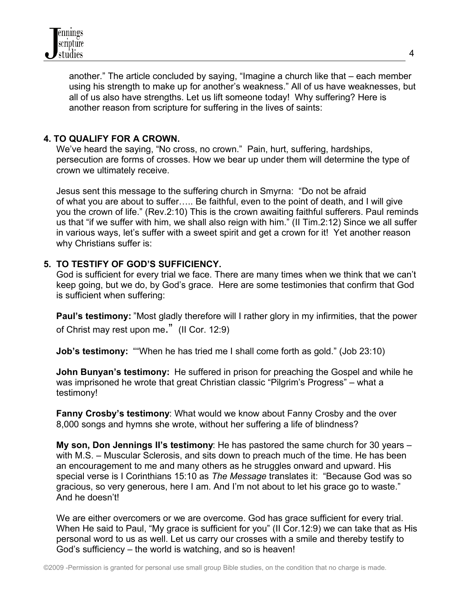

 another." The article concluded by saying, "Imagine a church like that – each member using his strength to make up for another's weakness." All of us have weaknesses, but all of us also have strengths. Let us lift someone today! Why suffering? Here is another reason from scripture for suffering in the lives of saints:

#### **4. TO QUALIFY FOR A CROWN.**

 We've heard the saying, "No cross, no crown." Pain, hurt, suffering, hardships, persecution are forms of crosses. How we bear up under them will determine the type of crown we ultimately receive.

 Jesus sent this message to the suffering church in Smyrna: "Do not be afraid of what you are about to suffer….. Be faithful, even to the point of death, and I will give you the crown of life." (Rev.2:10) This is the crown awaiting faithful sufferers. Paul reminds us that "if we suffer with him, we shall also reign with him." (II Tim.2:12) Since we all suffer in various ways, let's suffer with a sweet spirit and get a crown for it! Yet another reason why Christians suffer is:

### **5. TO TESTIFY OF GOD'S SUFFICIENCY.**

 God is sufficient for every trial we face. There are many times when we think that we can't keep going, but we do, by God's grace. Here are some testimonies that confirm that God is sufficient when suffering:

 **Paul's testimony:** "Most gladly therefore will I rather glory in my infirmities, that the power of Christ may rest upon me." (II Cor. 12:9)

**Job's testimony:** ""When he has tried me I shall come forth as gold." (Job 23:10)

 **John Bunyan's testimony:** He suffered in prison for preaching the Gospel and while he was imprisoned he wrote that great Christian classic "Pilgrim's Progress" – what a testimony!

 **Fanny Crosby's testimony**: What would we know about Fanny Crosby and the over 8,000 songs and hymns she wrote, without her suffering a life of blindness?

 **My son, Don Jennings II's testimony**: He has pastored the same church for 30 years – with M.S. – Muscular Sclerosis, and sits down to preach much of the time. He has been an encouragement to me and many others as he struggles onward and upward. His special verse is I Corinthians 15:10 as *The Message* translates it: "Because God was so gracious, so very generous, here I am. And I'm not about to let his grace go to waste." And he doesn't!

 We are either overcomers or we are overcome. God has grace sufficient for every trial. When He said to Paul, "My grace is sufficient for you" (II Cor.12:9) we can take that as His personal word to us as well. Let us carry our crosses with a smile and thereby testify to God's sufficiency – the world is watching, and so is heaven!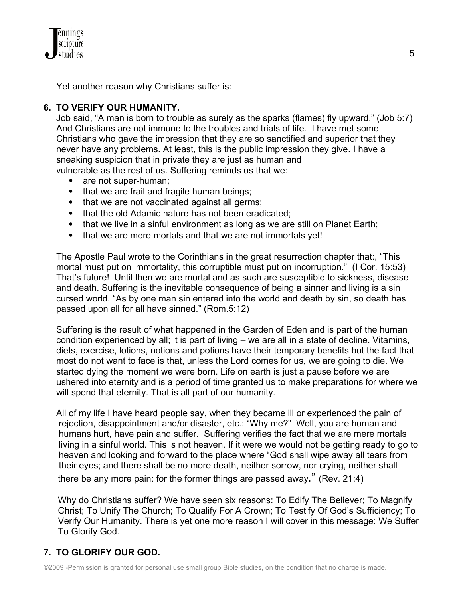Yet another reason why Christians suffer is:

# **6. TO VERIFY OUR HUMANITY.**

Job said, "A man is born to trouble as surely as the sparks (flames) fly upward." (Job 5:7) And Christians are not immune to the troubles and trials of life. I have met some Christians who gave the impression that they are so sanctified and superior that they never have any problems. At least, this is the public impression they give. I have a sneaking suspicion that in private they are just as human and vulnerable as the rest of us. Suffering reminds us that we:

- are not super-human;
- that we are frail and fragile human beings;
- that we are not vaccinated against all germs;
- that the old Adamic nature has not been eradicated:
- that we live in a sinful environment as long as we are still on Planet Earth;
- that we are mere mortals and that we are not immortals yet!

 The Apostle Paul wrote to the Corinthians in the great resurrection chapter that:, "This mortal must put on immortality, this corruptible must put on incorruption." (I Cor. 15:53) That's future! Until then we are mortal and as such are susceptible to sickness, disease and death. Suffering is the inevitable consequence of being a sinner and living is a sin cursed world. "As by one man sin entered into the world and death by sin, so death has passed upon all for all have sinned." (Rom.5:12)

Suffering is the result of what happened in the Garden of Eden and is part of the human condition experienced by all; it is part of living – we are all in a state of decline. Vitamins, diets, exercise, lotions, notions and potions have their temporary benefits but the fact that most do not want to face is that, unless the Lord comes for us, we are going to die. We started dying the moment we were born. Life on earth is just a pause before we are ushered into eternity and is a period of time granted us to make preparations for where we will spend that eternity. That is all part of our humanity.

All of my life I have heard people say, when they became ill or experienced the pain of rejection, disappointment and/or disaster, etc.: "Why me?" Well, you are human and humans hurt, have pain and suffer. Suffering verifies the fact that we are mere mortals living in a sinful world. This is not heaven. If it were we would not be getting ready to go to heaven and looking and forward to the place where "God shall wipe away all tears from their eyes; and there shall be no more death, neither sorrow, nor crying, neither shall there be any more pain: for the former things are passed away." (Rev. 21:4)

 Why do Christians suffer? We have seen six reasons: To Edify The Believer; To Magnify Christ; To Unify The Church; To Qualify For A Crown; To Testify Of God's Sufficiency; To Verify Our Humanity. There is yet one more reason I will cover in this message: We Suffer To Glorify God.

# **7. TO GLORIFY OUR GOD.**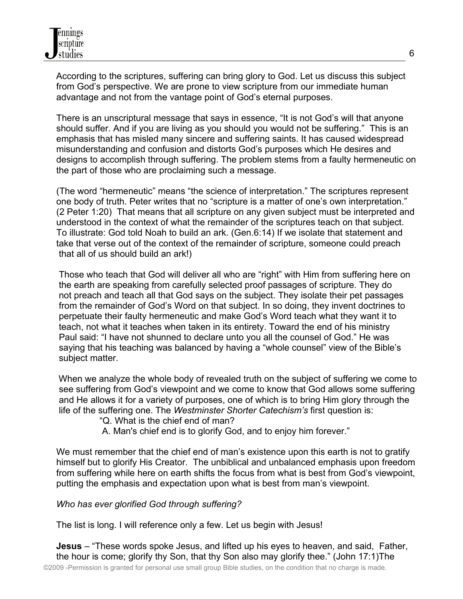According to the scriptures, suffering can bring glory to God. Let us discuss this subject from God's perspective. We are prone to view scripture from our immediate human advantage and not from the vantage point of God's eternal purposes.

 There is an unscriptural message that says in essence, "It is not God's will that anyone should suffer. And if you are living as you should you would not be suffering." This is an emphasis that has misled many sincere and suffering saints. It has caused widespread misunderstanding and confusion and distorts God's purposes which He desires and designs to accomplish through suffering. The problem stems from a faulty hermeneutic on the part of those who are proclaiming such a message.

 (The word "hermeneutic" means "the science of interpretation." The scriptures represent one body of truth. Peter writes that no "scripture is a matter of one's own interpretation." (2 Peter 1:20) That means that all scripture on any given subject must be interpreted and understood in the context of what the remainder of the scriptures teach on that subject. To illustrate: God told Noah to build an ark. (Gen.6:14) If we isolate that statement and take that verse out of the context of the remainder of scripture, someone could preach that all of us should build an ark!)

 Those who teach that God will deliver all who are "right" with Him from suffering here on the earth are speaking from carefully selected proof passages of scripture. They do not preach and teach all that God says on the subject. They isolate their pet passages from the remainder of God's Word on that subject. In so doing, they invent doctrines to perpetuate their faulty hermeneutic and make God's Word teach what they want it to teach, not what it teaches when taken in its entirety. Toward the end of his ministry Paul said: "I have not shunned to declare unto you all the counsel of God." He was saying that his teaching was balanced by having a "whole counsel" view of the Bible's subject matter.

When we analyze the whole body of revealed truth on the subject of suffering we come to see suffering from God's viewpoint and we come to know that God allows some suffering and He allows it for a variety of purposes, one of which is to bring Him glory through the life of the suffering one. The *Westminster Shorter Catechism's* first question is:

"Q. What is the chief end of man?

A. Man's chief end is to glorify God, and to enjoy him forever."

We must remember that the chief end of man's existence upon this earth is not to gratify himself but to glorify His Creator. The unbiblical and unbalanced emphasis upon freedom from suffering while here on earth shifts the focus from what is best from God's viewpoint, putting the emphasis and expectation upon what is best from man's viewpoint.

*Who has ever glorified God through suffering?*

The list is long. I will reference only a few. Let us begin with Jesus!

 **Jesus** – "These words spoke Jesus, and lifted up his eyes to heaven, and said, Father, the hour is come; glorify thy Son, that thy Son also may glorify thee." (John 17:1)The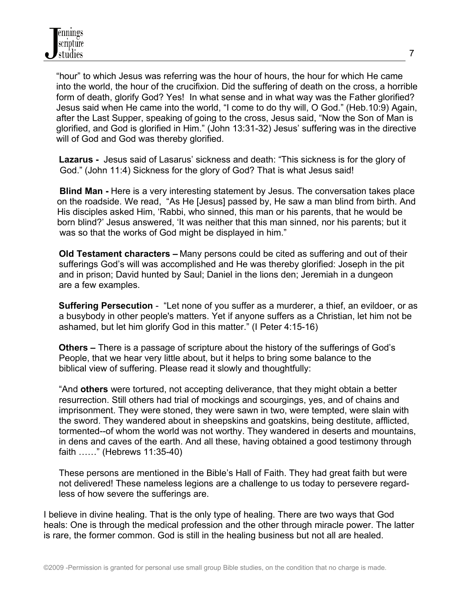"hour" to which Jesus was referring was the hour of hours, the hour for which He came into the world, the hour of the crucifixion. Did the suffering of death on the cross, a horrible form of death, glorify God? Yes! In what sense and in what way was the Father glorified? Jesus said when He came into the world, "I come to do thy will, O God." (Heb.10:9) Again, after the Last Supper, speaking of going to the cross, Jesus said, "Now the Son of Man is glorified, and God is glorified in Him." (John 13:31-32) Jesus' suffering was in the directive will of God and God was thereby glorified.

 **Lazarus -** Jesus said of Lasarus' sickness and death: "This sickness is for the glory of God." (John 11:4) Sickness for the glory of God? That is what Jesus said!

**Blind Man - Here is a very interesting statement by Jesus. The conversation takes place** on the roadside. We read, "As He [Jesus] passed by, He saw a man blind from birth. And His disciples asked Him, 'Rabbi, who sinned, this man or his parents, that he would be born blind?' Jesus answered, 'It was neither that this man sinned, nor his parents; but it was so that the works of God might be displayed in him."

 **Old Testament characters –** Many persons could be cited as suffering and out of their sufferings God's will was accomplished and He was thereby glorified: Joseph in the pit and in prison; David hunted by Saul; Daniel in the lions den; Jeremiah in a dungeon are a few examples.

 **Suffering Persecution** - "Let none of you suffer as a murderer, a thief, an evildoer, or as a busybody in other people's matters. Yet if anyone suffers as a Christian, let him not be ashamed, but let him glorify God in this matter." (I Peter 4:15-16)

 **Others –** There is a passage of scripture about the history of the sufferings of God's People, that we hear very little about, but it helps to bring some balance to the biblical view of suffering. Please read it slowly and thoughtfully:

 "And **others** were tortured, not accepting deliverance, that they might obtain a better resurrection. Still others had trial of mockings and scourgings, yes, and of chains and imprisonment. They were stoned, they were sawn in two, were tempted, were slain with the sword. They wandered about in sheepskins and goatskins, being destitute, afflicted, tormented--of whom the world was not worthy. They wandered in deserts and mountains, in dens and caves of the earth. And all these, having obtained a good testimony through faith ……" (Hebrews 11:35-40)

 These persons are mentioned in the Bible's Hall of Faith. They had great faith but were not delivered! These nameless legions are a challenge to us today to persevere regard less of how severe the sufferings are.

I believe in divine healing. That is the only type of healing. There are two ways that God heals: One is through the medical profession and the other through miracle power. The latter is rare, the former common. God is still in the healing business but not all are healed.